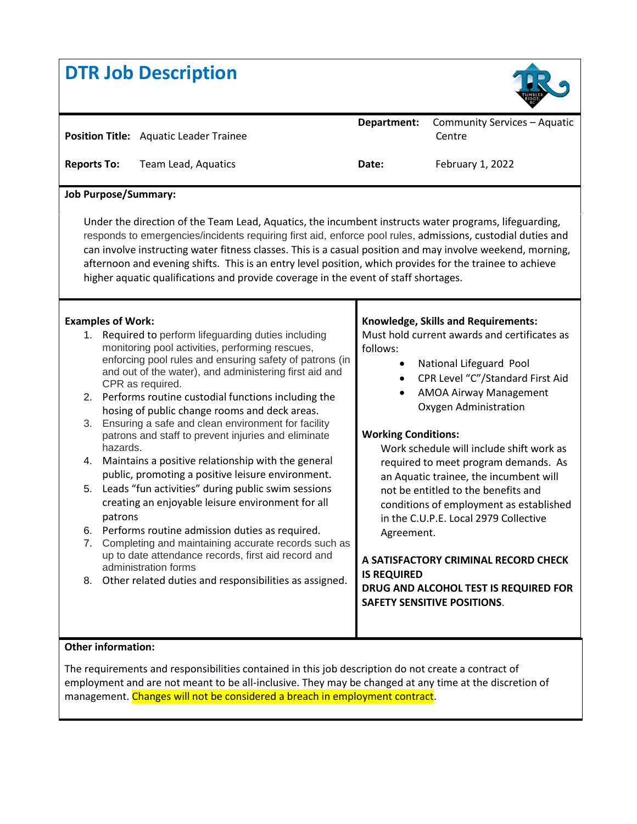# **DTR Job Description**



|                             | <b>Position Title:</b> Aquatic Leader Trainee | Department: | Community Services - Aquatic<br>Centre |
|-----------------------------|-----------------------------------------------|-------------|----------------------------------------|
| <b>Reports To:</b>          | Team Lead, Aquatics                           | Date:       | February 1, 2022                       |
| <b>Job Purpose/Summary:</b> |                                               |             |                                        |
|                             |                                               |             |                                        |

afternoon and evening shifts. This is an entry level position, which provides for the trainee to achieve higher aquatic qualifications and provide coverage in the event of staff shortages.

#### **Examples of Work:**

- 1. Required to perform lifeguarding duties including monitoring pool activities, performing rescues, enforcing pool rules and ensuring safety of patrons (in and out of the water), and administering first aid and CPR as required.
- 2. Performs routine custodial functions including the hosing of public change rooms and deck areas.
- 3. Ensuring a safe and clean environment for facility patrons and staff to prevent injuries and eliminate hazards.
- 4. Maintains a positive relationship with the general public, promoting a positive leisure environment.
- 5. Leads "fun activities" during public swim sessions creating an enjoyable leisure environment for all patrons
- 6. Performs routine admission duties as required.
- 7. Completing and maintaining accurate records such as up to date attendance records, first aid record and administration forms
- 8. Other related duties and responsibilities as assigned.

#### **Knowledge, Skills and Requirements:**

Must hold current awards and certificates as follows:

- National Lifeguard Pool
- CPR Level "C"/Standard First Aid
- AMOA Airway Management Oxygen Administration

#### **Working Conditions:**

Work schedule will include shift work as required to meet program demands. As an Aquatic trainee, the incumbent will not be entitled to the benefits and conditions of employment as established in the C.U.P.E. Local 2979 Collective Agreement.

## **A SATISFACTORY CRIMINAL RECORD CHECK IS REQUIRED**

**DRUG AND ALCOHOL TEST IS REQUIRED FOR SAFETY SENSITIVE POSITIONS**.

## **Other information:**

The requirements and responsibilities contained in this job description do not create a contract of employment and are not meant to be all-inclusive. They may be changed at any time at the discretion of management. Changes will not be considered a breach in employment contract.